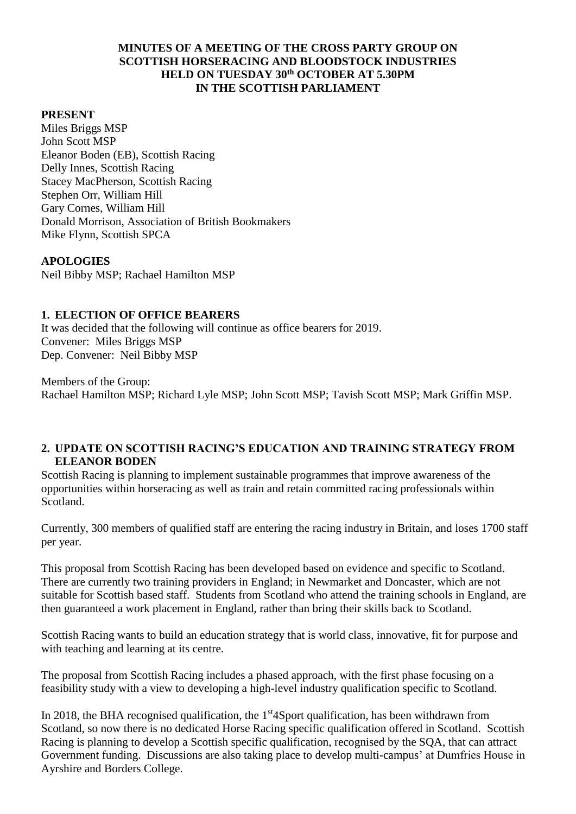## **MINUTES OF A MEETING OF THE CROSS PARTY GROUP ON SCOTTISH HORSERACING AND BLOODSTOCK INDUSTRIES HELD ON TUESDAY 30th OCTOBER AT 5.30PM IN THE SCOTTISH PARLIAMENT**

### **PRESENT**

Miles Briggs MSP John Scott MSP Eleanor Boden (EB), Scottish Racing Delly Innes, Scottish Racing Stacey MacPherson, Scottish Racing Stephen Orr, William Hill Gary Cornes, William Hill Donald Morrison, Association of British Bookmakers Mike Flynn, Scottish SPCA

#### **APOLOGIES**

Neil Bibby MSP; Rachael Hamilton MSP

## **1. ELECTION OF OFFICE BEARERS**

It was decided that the following will continue as office bearers for 2019. Convener: Miles Briggs MSP Dep. Convener: Neil Bibby MSP

Members of the Group: Rachael Hamilton MSP; Richard Lyle MSP; John Scott MSP; Tavish Scott MSP; Mark Griffin MSP.

#### **2. UPDATE ON SCOTTISH RACING'S EDUCATION AND TRAINING STRATEGY FROM ELEANOR BODEN**

Scottish Racing is planning to implement sustainable programmes that improve awareness of the opportunities within horseracing as well as train and retain committed racing professionals within Scotland.

Currently, 300 members of qualified staff are entering the racing industry in Britain, and loses 1700 staff per year.

This proposal from Scottish Racing has been developed based on evidence and specific to Scotland. There are currently two training providers in England; in Newmarket and Doncaster, which are not suitable for Scottish based staff. Students from Scotland who attend the training schools in England, are then guaranteed a work placement in England, rather than bring their skills back to Scotland.

Scottish Racing wants to build an education strategy that is world class, innovative, fit for purpose and with teaching and learning at its centre.

The proposal from Scottish Racing includes a phased approach, with the first phase focusing on a feasibility study with a view to developing a high-level industry qualification specific to Scotland.

In 2018, the BHA recognised qualification, the 1<sup>st</sup> 4Sport qualification, has been withdrawn from Scotland, so now there is no dedicated Horse Racing specific qualification offered in Scotland. Scottish Racing is planning to develop a Scottish specific qualification, recognised by the SQA, that can attract Government funding. Discussions are also taking place to develop multi-campus' at Dumfries House in Ayrshire and Borders College.